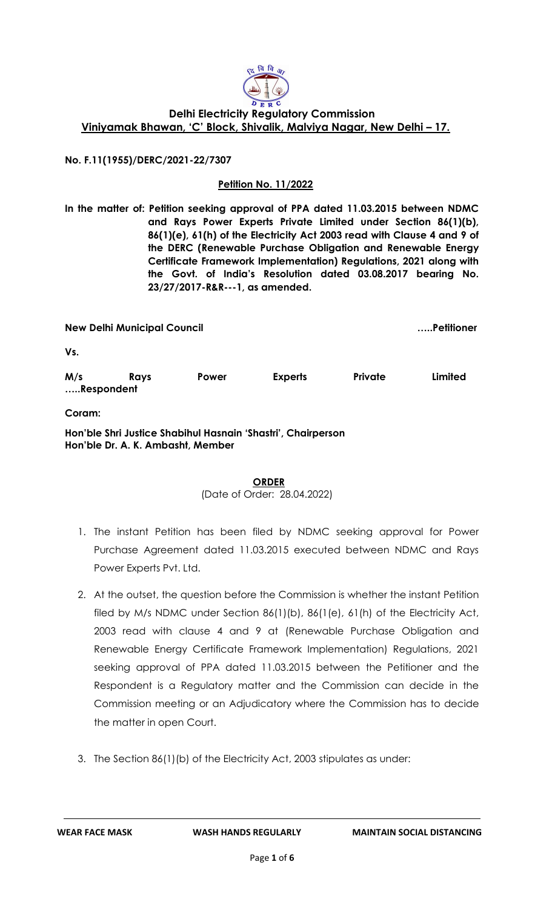

## **Delhi Electricity Regulatory Commission Viniyamak Bhawan, 'C' Block, Shivalik, Malviya Nagar, New Delhi – 17.**

**No. F.11(1955)/DERC/2021-22/7307**

## **Petition No. 11/2022**

**In the matter of: Petition seeking approval of PPA dated 11.03.2015 between NDMC and Rays Power Experts Private Limited under Section 86(1)(b), 86(1)(e), 61(h) of the Electricity Act 2003 read with Clause 4 and 9 of the DERC (Renewable Purchase Obligation and Renewable Energy Certificate Framework Implementation) Regulations, 2021 along with the Govt. of India's Resolution dated 03.08.2017 bearing No. 23/27/2017-R&R---1, as amended.**

**New Delhi Municipal Council …..Petitioner Vs. M/s Rays Power Experts Private Limited …..Respondent Coram: Hon'ble Shri Justice Shabihul Hasnain 'Shastri', Chairperson Hon'ble Dr. A. K. Ambasht, Member**

> **ORDER** (Date of Order: 28.04.2022)

- 1. The instant Petition has been filed by NDMC seeking approval for Power Purchase Agreement dated 11.03.2015 executed between NDMC and Rays Power Experts Pvt. Ltd.
- 2. At the outset, the question before the Commission is whether the instant Petition filed by M/s NDMC under Section 86(1)(b), 86(1(e), 61(h) of the Electricity Act, 2003 read with clause 4 and 9 at (Renewable Purchase Obligation and Renewable Energy Certificate Framework Implementation) Regulations, 2021 seeking approval of PPA dated 11.03.2015 between the Petitioner and the Respondent is a Regulatory matter and the Commission can decide in the Commission meeting or an Adjudicatory where the Commission has to decide the matter in open Court.
- 3. The Section 86(1)(b) of the Electricity Act, 2003 stipulates as under: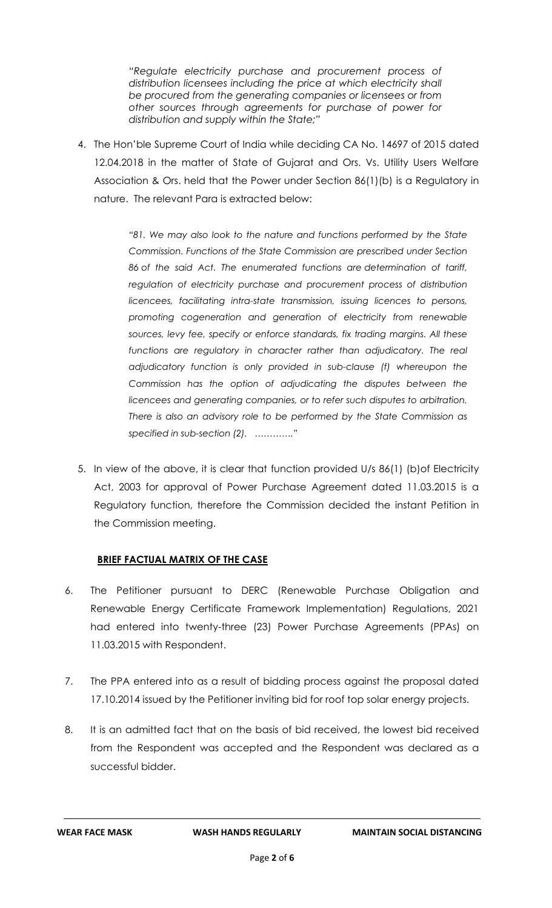*"Regulate electricity purchase and procurement process of distribution licensees including the price at which electricity shall be procured from the generating companies or licensees or from other sources through agreements for purchase of power for distribution and supply within the State;"*

4. The Hon'ble Supreme Court of India while deciding CA No. 14697 of 2015 dated 12.04.2018 in the matter of State of Gujarat and Ors. Vs. Utility Users Welfare Association & Ors. held that the Power under Section 86(1)(b) is a Regulatory in nature. The relevant Para is extracted below:

> *"81. We may also look to the nature and functions performed by the State Commission. Functions of the State Commission are prescribed under [Section](https://indiankanoon.org/doc/132967048/)  [86](https://indiankanoon.org/doc/132967048/) of the said Act. The enumerated functions are determination of tariff, regulation of electricity purchase and procurement process of distribution licencees, facilitating intra-state transmission, issuing licences to persons, promoting cogeneration and generation of electricity from renewable sources, levy fee, specify or enforce standards, fix trading margins. All these*  functions are regulatory in character rather than adjudicatory. The real *adjudicatory function is only provided in sub-clause (f) whereupon the Commission has the option of adjudicating the disputes between the licencees and generating companies, or to refer such disputes to arbitration. There is also an advisory role to be performed by the State Commission as specified in sub-section (2). …………."*

5. In view of the above, it is clear that function provided U/s 86(1) (b)of Electricity Act, 2003 for approval of Power Purchase Agreement dated 11.03.2015 is a Regulatory function, therefore the Commission decided the instant Petition in the Commission meeting.

## **BRIEF FACTUAL MATRIX OF THE CASE**

- 6. The Petitioner pursuant to DERC (Renewable Purchase Obligation and Renewable Energy Certificate Framework Implementation) Regulations, 2021 had entered into twenty-three (23) Power Purchase Agreements (PPAs) on 11.03.2015 with Respondent.
- 7. The PPA entered into as a result of bidding process against the proposal dated 17.10.2014 issued by the Petitioner inviting bid for roof top solar energy projects.
- 8. It is an admitted fact that on the basis of bid received, the lowest bid received from the Respondent was accepted and the Respondent was declared as a successful bidder.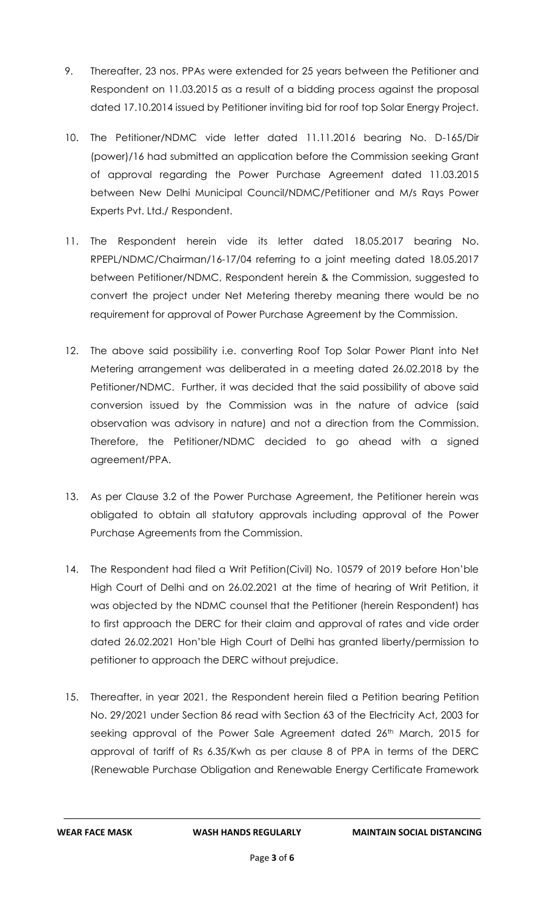- 9. Thereafter, 23 nos. PPAs were extended for 25 years between the Petitioner and Respondent on 11.03.2015 as a result of a bidding process against the proposal dated 17.10.2014 issued by Petitioner inviting bid for roof top Solar Energy Project.
- 10. The Petitioner/NDMC vide letter dated 11.11.2016 bearing No. D-165/Dir (power)/16 had submitted an application before the Commission seeking Grant of approval regarding the Power Purchase Agreement dated 11.03.2015 between New Delhi Municipal Council/NDMC/Petitioner and M/s Rays Power Experts Pvt. Ltd./ Respondent.
- 11. The Respondent herein vide its letter dated 18.05.2017 bearing No. RPEPL/NDMC/Chairman/16-17/04 referring to a joint meeting dated 18.05.2017 between Petitioner/NDMC, Respondent herein & the Commission, suggested to convert the project under Net Metering thereby meaning there would be no requirement for approval of Power Purchase Agreement by the Commission.
- 12. The above said possibility i.e. converting Roof Top Solar Power Plant into Net Metering arrangement was deliberated in a meeting dated 26.02.2018 by the Petitioner/NDMC. Further, it was decided that the said possibility of above said conversion issued by the Commission was in the nature of advice (said observation was advisory in nature) and not a direction from the Commission. Therefore, the Petitioner/NDMC decided to go ahead with a signed agreement/PPA.
- 13. As per Clause 3.2 of the Power Purchase Agreement, the Petitioner herein was obligated to obtain all statutory approvals including approval of the Power Purchase Agreements from the Commission.
- 14. The Respondent had filed a Writ Petition(Civil) No. 10579 of 2019 before Hon'ble High Court of Delhi and on 26.02.2021 at the time of hearing of Writ Petition, it was objected by the NDMC counsel that the Petitioner (herein Respondent) has to first approach the DERC for their claim and approval of rates and vide order dated 26.02.2021 Hon'ble High Court of Delhi has granted liberty/permission to petitioner to approach the DERC without prejudice.
- 15. Thereafter, in year 2021, the Respondent herein filed a Petition bearing Petition No. 29/2021 under Section 86 read with Section 63 of the Electricity Act, 2003 for seeking approval of the Power Sale Agreement dated 26<sup>th</sup> March, 2015 for approval of tariff of Rs 6.35/Kwh as per clause 8 of PPA in terms of the DERC (Renewable Purchase Obligation and Renewable Energy Certificate Framework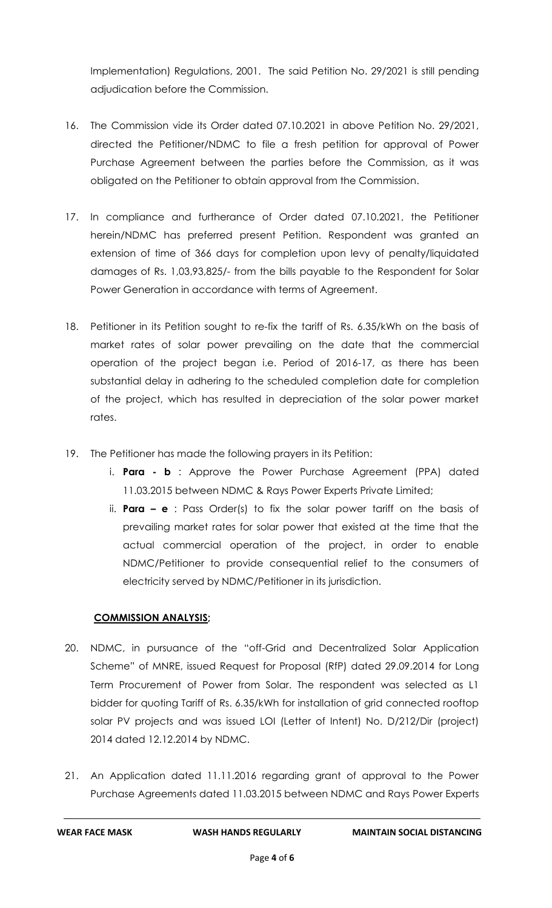Implementation) Regulations, 2001. The said Petition No. 29/2021 is still pending adjudication before the Commission.

- 16. The Commission vide its Order dated 07.10.2021 in above Petition No. 29/2021, directed the Petitioner/NDMC to file a fresh petition for approval of Power Purchase Agreement between the parties before the Commission, as it was obligated on the Petitioner to obtain approval from the Commission.
- 17. In compliance and furtherance of Order dated 07.10.2021, the Petitioner herein/NDMC has preferred present Petition. Respondent was granted an extension of time of 366 days for completion upon levy of penalty/liquidated damages of Rs. 1,03,93,825/- from the bills payable to the Respondent for Solar Power Generation in accordance with terms of Agreement.
- 18. Petitioner in its Petition sought to re-fix the tariff of Rs. 6.35/kWh on the basis of market rates of solar power prevailing on the date that the commercial operation of the project began i.e. Period of 2016-17, as there has been substantial delay in adhering to the scheduled completion date for completion of the project, which has resulted in depreciation of the solar power market rates.
- 19. The Petitioner has made the following prayers in its Petition:
	- i. **Para - b** : Approve the Power Purchase Agreement (PPA) dated 11.03.2015 between NDMC & Rays Power Experts Private Limited;
	- ii. **Para – e** : Pass Order(s) to fix the solar power tariff on the basis of prevailing market rates for solar power that existed at the time that the actual commercial operation of the project, in order to enable NDMC/Petitioner to provide consequential relief to the consumers of electricity served by NDMC/Petitioner in its jurisdiction.

## **COMMISSION ANALYSIS;**

- 20. NDMC, in pursuance of the "off-Grid and Decentralized Solar Application Scheme" of MNRE, issued Request for Proposal (RfP) dated 29.09.2014 for Long Term Procurement of Power from Solar. The respondent was selected as L1 bidder for quoting Tariff of Rs. 6.35/kWh for installation of grid connected rooftop solar PV projects and was issued LOI (Letter of Intent) No. D/212/Dir (project) 2014 dated 12.12.2014 by NDMC.
- 21. An Application dated 11.11.2016 regarding grant of approval to the Power Purchase Agreements dated 11.03.2015 between NDMC and Rays Power Experts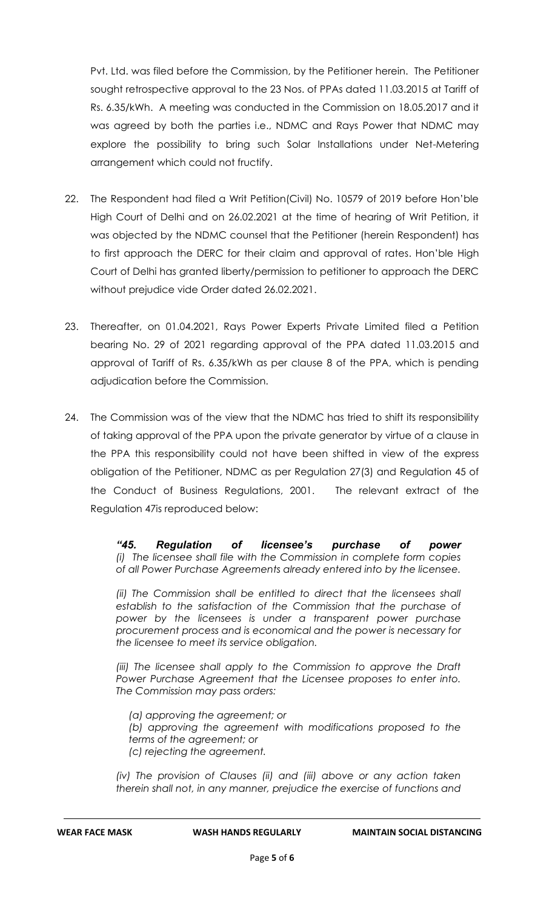Pvt. Ltd. was filed before the Commission, by the Petitioner herein. The Petitioner sought retrospective approval to the 23 Nos. of PPAs dated 11.03.2015 at Tariff of Rs. 6.35/kWh. A meeting was conducted in the Commission on 18.05.2017 and it was agreed by both the parties i.e., NDMC and Rays Power that NDMC may explore the possibility to bring such Solar Installations under Net-Metering arrangement which could not fructify.

- 22. The Respondent had filed a Writ Petition(Civil) No. 10579 of 2019 before Hon'ble High Court of Delhi and on 26.02.2021 at the time of hearing of Writ Petition, it was objected by the NDMC counsel that the Petitioner (herein Respondent) has to first approach the DERC for their claim and approval of rates. Hon'ble High Court of Delhi has granted liberty/permission to petitioner to approach the DERC without prejudice vide Order dated 26.02.2021.
- 23. Thereafter, on 01.04.2021, Rays Power Experts Private Limited filed a Petition bearing No. 29 of 2021 regarding approval of the PPA dated 11.03.2015 and approval of Tariff of Rs. 6.35/kWh as per clause 8 of the PPA, which is pending adjudication before the Commission.
- 24. The Commission was of the view that the NDMC has tried to shift its responsibility of taking approval of the PPA upon the private generator by virtue of a clause in the PPA this responsibility could not have been shifted in view of the express obligation of the Petitioner, NDMC as per Regulation 27(3) and Regulation 45 of the Conduct of Business Regulations, 2001. The relevant extract of the Regulation 47is reproduced below:

*"45. Regulation of licensee's purchase of power (i) The licensee shall file with the Commission in complete form copies of all Power Purchase Agreements already entered into by the licensee.*

*(ii)* The Commission shall be entitled to direct that the licensees shall *establish to the satisfaction of the Commission that the purchase of power by the licensees is under a transparent power purchase procurement process and is economical and the power is necessary for the licensee to meet its service obligation.*

*(iii)* The licensee shall apply to the Commission to approve the Draft *Power Purchase Agreement that the Licensee proposes to enter into. The Commission may pass orders:*

*(a) approving the agreement; or (b) approving the agreement with modifications proposed to the terms of the agreement; or (c) rejecting the agreement.*

*(iv) The provision of Clauses (ii) and (iii) above or any action taken therein shall not, in any manner, prejudice the exercise of functions and*